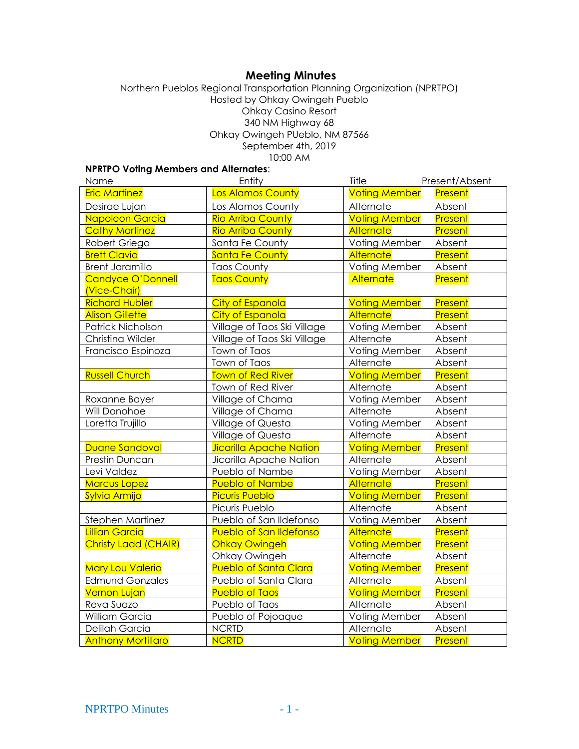# **Meeting Minutes**

#### Northern Pueblos Regional Transportation Planning Organization (NPRTPO) Hosted by Ohkay Owingeh Pueblo Ohkay Casino Resort 340 NM Highway 68 Ohkay Owingeh PUeblo, NM 87566 September 4th, 2019 10:00 AM

### **NPRTPO Voting Members and Alternates**:

| Name                              | Entity                         | Title                | Present/Absent |
|-----------------------------------|--------------------------------|----------------------|----------------|
| <b>Eric Martinez</b>              | Los Alamos County              | <b>Voting Member</b> | Present        |
| Desirae Lujan                     | Los Alamos County              | Alternate            | Absent         |
| Napoleon Garcia                   | <b>Rio Arriba County</b>       | <b>Voting Member</b> | Present        |
| <b>Cathy Martinez</b>             | <b>Rio Arriba County</b>       | <b>Alternate</b>     | Present        |
| Robert Griego                     | Santa Fe County                | Voting Member        | Absent         |
| <b>Brett Clavio</b>               | <b>Santa Fe County</b>         | Alternate            | Present        |
| <b>Brent Jaramillo</b>            | <b>Taos County</b>             | Voting Member        | Absent         |
| Candyce O'Donnell<br>(Vice-Chair) | <b>Taos County</b>             | <b>Alternate</b>     | Present        |
| <b>Richard Hubler</b>             | <b>City of Espanola</b>        | <b>Voting Member</b> | Present        |
| <b>Alison Gillette</b>            | City of Espanola               | <b>Alternate</b>     | Present        |
| Patrick Nicholson                 | Village of Taos Ski Village    | Voting Member        | Absent         |
| Christina Wilder                  | Village of Taos Ski Village    | Alternate            | Absent         |
| Francisco Espinoza                | Town of Taos                   | Voting Member        | Absent         |
|                                   | Town of Taos                   | Alternate            | Absent         |
| <b>Russell Church</b>             | <b>Town of Red River</b>       | <b>Voting Member</b> | Present        |
|                                   | Town of Red River              | Alternate            | Absent         |
| Roxanne Bayer                     | Village of Chama               | Voting Member        | Absent         |
| Will Donohoe                      | Village of Chama               | Alternate            | Absent         |
| Loretta Trujillo                  | Village of Questa              | Voting Member        | Absent         |
|                                   | Village of Questa              | Alternate            | Absent         |
| Duane Sandoval                    | <b>Jicarilla Apache Nation</b> | <b>Voting Member</b> | Present        |
| Prestin Duncan                    | Jicarilla Apache Nation        | Alternate            | Absent         |
| Levi Valdez                       | Pueblo of Nambe                | Voting Member        | Absent         |
| <b>Marcus Lopez</b>               | <b>Pueblo of Nambe</b>         | Alternate            | Present        |
| Sylvia Armijo                     | <b>Picuris Pueblo</b>          | <b>Voting Member</b> | Present        |
|                                   | Picuris Pueblo                 | Alternate            | Absent         |
| Stephen Martinez                  | Pueblo of San Ildefonso        | Voting Member        | Absent         |
| <b>Lillian Garcia</b>             | Pueblo of San Ildefonso        | <b>Alternate</b>     | Present        |
| Christy Ladd (CHAIR)              | <b>Ohkay Owingeh</b>           | <b>Voting Member</b> | Present        |
|                                   | Ohkay Owingeh                  | Alternate            | Absent         |
| <b>Mary Lou Valerio</b>           | <b>Pueblo of Santa Clara</b>   | <b>Voting Member</b> | Present        |
| <b>Edmund Gonzales</b>            | Pueblo of Santa Clara          | Alternate            | Absent         |
| <b>Vernon Lujan</b>               | <b>Pueblo of Taos</b>          | <b>Voting Member</b> | <b>Present</b> |
| Reva Suazo                        | Pueblo of Taos                 | Alternate            | Absent         |
| William Garcia                    | Pueblo of Pojoaque             | Voting Member        | Absent         |
| Delilah Garcia                    | <b>NCRTD</b>                   | Alternate            | Absent         |
| <b>Anthony Mortillaro</b>         | <b>NCRTD</b>                   | <b>Voting Member</b> | Present        |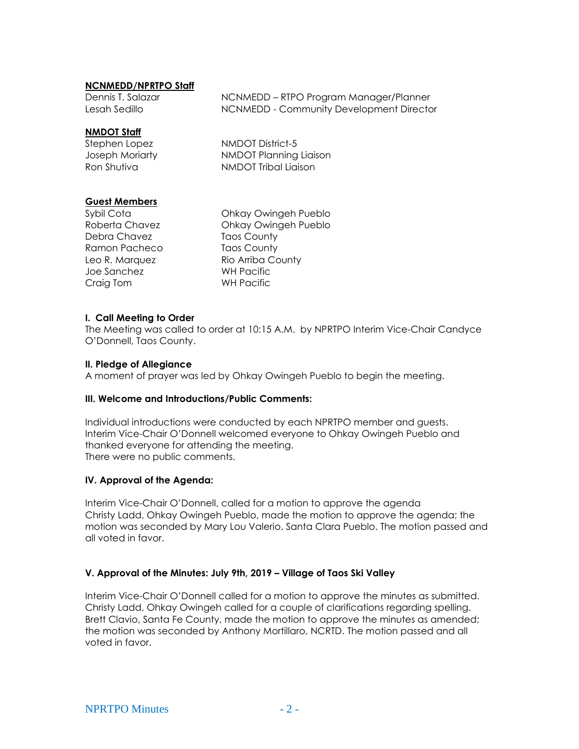#### **NCNMEDD/NPRTPO Staff**

| Dennis T. Salazar | NCNMEDD – RTPO Program Manager/Planner   |
|-------------------|------------------------------------------|
| Lesah Sedillo .   | NCNMEDD - Community Development Director |

#### **NMDOT Staff**

| Stephen Lopez   | NMDOT District-5       |
|-----------------|------------------------|
| Joseph Moriarty | NMDOT Planning Liaison |
| Ron Shutiva     | NMDOT Tribal Liaison   |

#### **Guest Members**

Debra Chavez Taos County Ramon Pacheco Taos County Joe Sanchez WH Pacific Craig Tom WH Pacific

Sybil Cota Ohkay Owingeh Pueblo Roberta Chavez Ohkay Owingeh Pueblo Leo R. Marquez Rio Arriba County

#### **I. Call Meeting to Order**

The Meeting was called to order at 10:15 A.M. by NPRTPO Interim Vice-Chair Candyce O'Donnell, Taos County.

#### **II. Pledge of Allegiance**

A moment of prayer was led by Ohkay Owingeh Pueblo to begin the meeting.

#### **III. Welcome and Introductions/Public Comments:**

Individual introductions were conducted by each NPRTPO member and guests. Interim Vice-Chair O'Donnell welcomed everyone to Ohkay Owingeh Pueblo and thanked everyone for attending the meeting. There were no public comments.

#### **IV. Approval of the Agenda:**

Interim Vice-Chair O'Donnell, called for a motion to approve the agenda Christy Ladd, Ohkay Owingeh Pueblo, made the motion to approve the agenda; the motion was seconded by Mary Lou Valerio, Santa Clara Pueblo. The motion passed and all voted in favor.

#### **V. Approval of the Minutes: July 9th, 2019 – Village of Taos Ski Valley**

Interim Vice-Chair O'Donnell called for a motion to approve the minutes as submitted. Christy Ladd, Ohkay Owingeh called for a couple of clarifications regarding spelling. Brett Clavio, Santa Fe County, made the motion to approve the minutes as amended; the motion was seconded by Anthony Mortillaro, NCRTD. The motion passed and all voted in favor.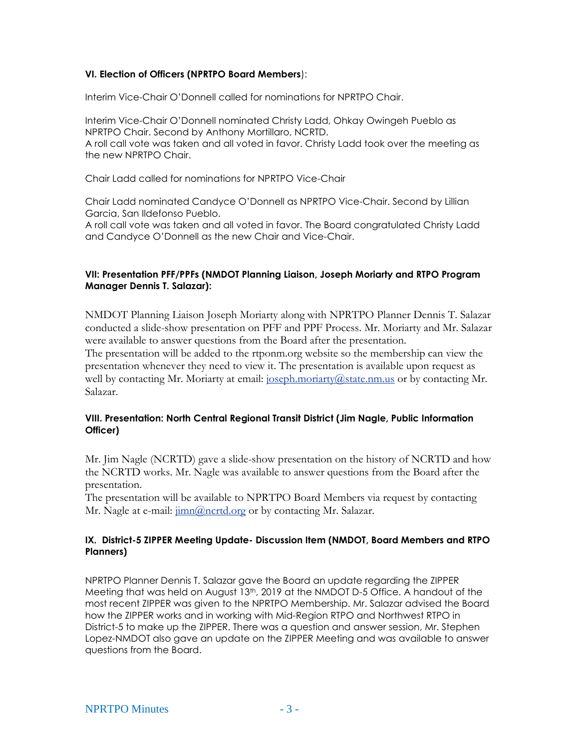### **VI. Election of Officers (NPRTPO Board Members**):

Interim Vice-Chair O'Donnell called for nominations for NPRTPO Chair.

Interim Vice-Chair O'Donnell nominated Christy Ladd, Ohkay Owingeh Pueblo as NPRTPO Chair. Second by Anthony Mortillaro, NCRTD. A roll call vote was taken and all voted in favor. Christy Ladd took over the meeting as the new NPRTPO Chair.

Chair Ladd called for nominations for NPRTPO Vice-Chair

Chair Ladd nominated Candyce O'Donnell as NPRTPO Vice-Chair. Second by Lillian Garcia, San Ildefonso Pueblo.

A roll call vote was taken and all voted in favor. The Board congratulated Christy Ladd and Candyce O'Donnell as the new Chair and Vice-Chair.

### **VII: Presentation PFF/PPFs (NMDOT Planning Liaison, Joseph Moriarty and RTPO Program Manager Dennis T. Salazar):**

NMDOT Planning Liaison Joseph Moriarty along with NPRTPO Planner Dennis T. Salazar conducted a slide-show presentation on PFF and PPF Process. Mr. Moriarty and Mr. Salazar were available to answer questions from the Board after the presentation.

The presentation will be added to the rtponm.org website so the membership can view the presentation whenever they need to view it. The presentation is available upon request as well by contacting Mr. Moriarty at email: [joseph.moriarty@state.nm.us](mailto:joseph.moriarty@state.nm.us) or by contacting Mr. Salazar.

### **VIII. Presentation: North Central Regional Transit District (Jim Nagle, Public Information Officer)**

Mr. Jim Nagle (NCRTD) gave a slide-show presentation on the history of NCRTD and how the NCRTD works. Mr. Nagle was available to answer questions from the Board after the presentation.

The presentation will be available to NPRTPO Board Members via request by contacting Mr. Nagle at e-mail:  $\lim_{\Omega}$  ncrtd.org or by contacting Mr. Salazar.

### **IX. District-5 ZIPPER Meeting Update- Discussion Item (NMDOT, Board Members and RTPO Planners)**

NPRTPO Planner Dennis T. Salazar gave the Board an update regarding the ZIPPER Meeting that was held on August 13th, 2019 at the NMDOT D-5 Office. A handout of the most recent ZIPPER was given to the NPRTPO Membership. Mr. Salazar advised the Board how the ZIPPER works and in working with Mid-Region RTPO and Northwest RTPO in District-5 to make up the ZIPPER. There was a question and answer session, Mr. Stephen Lopez-NMDOT also gave an update on the ZIPPER Meeting and was available to answer questions from the Board.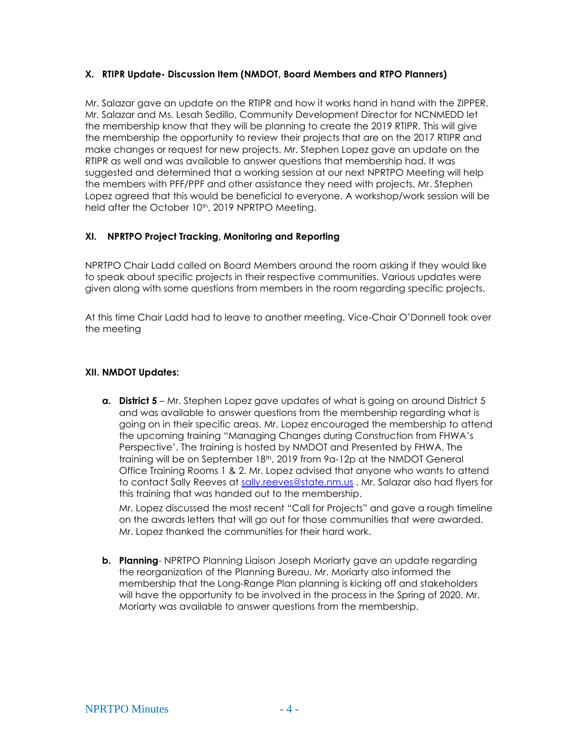### **X. RTIPR Update- Discussion Item (NMDOT, Board Members and RTPO Planners)**

Mr. Salazar gave an update on the RTIPR and how it works hand in hand with the ZIPPER. Mr. Salazar and Ms. Lesah Sedillo, Community Development Director for NCNMEDD let the membership know that they will be planning to create the 2019 RTIPR. This will give the membership the opportunity to review their projects that are on the 2017 RTIPR and make changes or request for new projects. Mr. Stephen Lopez gave an update on the RTIPR as well and was available to answer questions that membership had. It was suggested and determined that a working session at our next NPRTPO Meeting will help the members with PFF/PPF and other assistance they need with projects. Mr. Stephen Lopez agreed that this would be beneficial to everyone. A workshop/work session will be held after the October 10<sup>th</sup>, 2019 NPRTPO Meeting.

### **XI. NPRTPO Project Tracking, Monitoring and Reporting**

NPRTPO Chair Ladd called on Board Members around the room asking if they would like to speak about specific projects in their respective communities. Various updates were given along with some questions from members in the room regarding specific projects.

At this time Chair Ladd had to leave to another meeting. Vice-Chair O'Donnell took over the meeting

### **XII. NMDOT Updates:**

**a. District 5** – Mr. Stephen Lopez gave updates of what is going on around District 5 and was available to answer questions from the membership regarding what is going on in their specific areas. Mr. Lopez encouraged the membership to attend the upcoming training "Managing Changes during Construction from FHWA's Perspective'. The training is hosted by NMDOT and Presented by FHWA. The training will be on September 18<sup>th</sup>, 2019 from 9a-12p at the NMDOT General Office Training Rooms 1 & 2. Mr. Lopez advised that anyone who wants to attend to contact Sally Reeves at [sally.reeves@state.nm.us](mailto:sally.reeves@state.nm.us) . Mr. Salazar also had flyers for this training that was handed out to the membership.

Mr. Lopez discussed the most recent "Call for Projects" and gave a rough timeline on the awards letters that will go out for those communities that were awarded. Mr. Lopez thanked the communities for their hard work.

**b. Planning**- NPRTPO Planning Liaison Joseph Moriarty gave an update regarding the reorganization of the Planning Bureau. Mr. Moriarty also informed the membership that the Long-Range Plan planning is kicking off and stakeholders will have the opportunity to be involved in the process in the Spring of 2020. Mr. Moriarty was available to answer questions from the membership.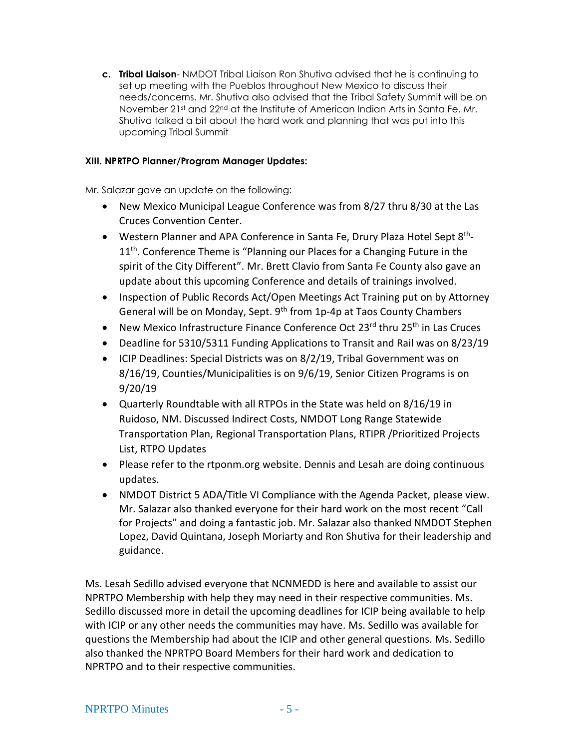**c. Tribal Liaison**- NMDOT Tribal Liaison Ron Shutiva advised that he is continuing to set up meeting with the Pueblos throughout New Mexico to discuss their needs/concerns. Mr. Shutiva also advised that the Tribal Safety Summit will be on November 21st and 22<sup>nd</sup> at the Institute of American Indian Arts in Santa Fe. Mr. Shutiva talked a bit about the hard work and planning that was put into this upcoming Tribal Summit

## **XIII. NPRTPO Planner/Program Manager Updates:**

Mr. Salazar gave an update on the following:

- New Mexico Municipal League Conference was from 8/27 thru 8/30 at the Las Cruces Convention Center.
- Western Planner and APA Conference in Santa Fe, Drury Plaza Hotel Sept 8<sup>th</sup>-11<sup>th</sup>. Conference Theme is "Planning our Places for a Changing Future in the spirit of the City Different". Mr. Brett Clavio from Santa Fe County also gave an update about this upcoming Conference and details of trainings involved.
- Inspection of Public Records Act/Open Meetings Act Training put on by Attorney General will be on Monday, Sept. 9<sup>th</sup> from 1p-4p at Taos County Chambers
- New Mexico Infrastructure Finance Conference Oct 23<sup>rd</sup> thru 25<sup>th</sup> in Las Cruces
- Deadline for 5310/5311 Funding Applications to Transit and Rail was on 8/23/19
- ICIP Deadlines: Special Districts was on 8/2/19, Tribal Government was on 8/16/19, Counties/Municipalities is on 9/6/19, Senior Citizen Programs is on 9/20/19
- Quarterly Roundtable with all RTPOs in the State was held on 8/16/19 in Ruidoso, NM. Discussed Indirect Costs, NMDOT Long Range Statewide Transportation Plan, Regional Transportation Plans, RTIPR /Prioritized Projects List, RTPO Updates
- Please refer to the rtponm.org website. Dennis and Lesah are doing continuous updates.
- NMDOT District 5 ADA/Title VI Compliance with the Agenda Packet, please view. Mr. Salazar also thanked everyone for their hard work on the most recent "Call for Projects" and doing a fantastic job. Mr. Salazar also thanked NMDOT Stephen Lopez, David Quintana, Joseph Moriarty and Ron Shutiva for their leadership and guidance.

Ms. Lesah Sedillo advised everyone that NCNMEDD is here and available to assist our NPRTPO Membership with help they may need in their respective communities. Ms. Sedillo discussed more in detail the upcoming deadlines for ICIP being available to help with ICIP or any other needs the communities may have. Ms. Sedillo was available for questions the Membership had about the ICIP and other general questions. Ms. Sedillo also thanked the NPRTPO Board Members for their hard work and dedication to NPRTPO and to their respective communities.